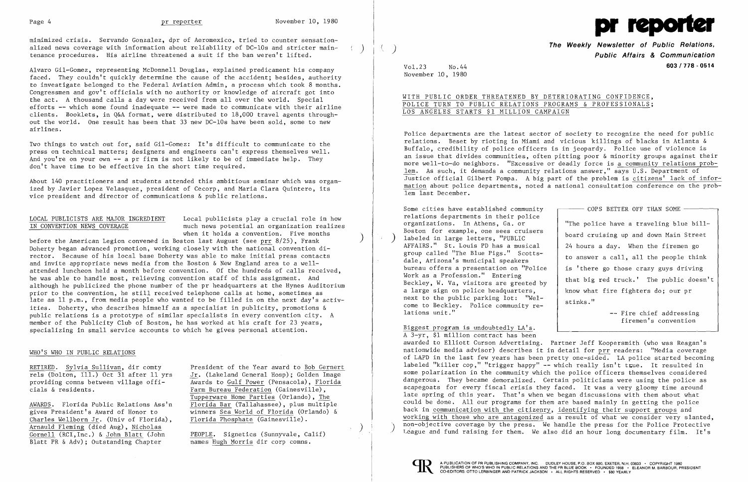

minimized crisis. Servando Gonzalez, dpr of Aeromexico, tried to counter sensationalized news coverage with information about reliability of DC-lOs and stricter maintenance procedures. His airline threatened a suit if the ban weren't lifted.

Alvaro Gil-Gomez, representing McDonnell Douglas, explained predicament his company faced. They couldn't quickly determine the cause of the accident; besides, authority to investigate belonged to the Federal Aviation Admin, a process which took 8 months. Congressmen and gov't officials with no authority or knowledge of aircraft got into the act. A thousand calls a day were received from allover the world. Special efforts **--** which some found inadequate **--** were made to communicate with their airline clients. Booklets, in Q&A format, were distributed to 18,000 travel agents throughout the world. One result has been that 33 new DC-lOs have been sold, some to new airlines.

LOCAL PUBLICISTS ARE MAJOR INGREDIENT Local publicists play a crucial role in how<br>IN CONVENTION NEWS COVERAGE much news potential an organization realize much news potential an organization realizes when it holds a convention. Five months

Two things to watch out for, said Gil-Gomez: It's difficult to communicate to the press on technical matters; designers and engineers can't express themselves well. And you're on your own **--** a pr firm is not likely to be of immediate help. They don't have time to be effective in the short time required.

About 140 practitioners and students attended this ambitious seminar which was organized by Javier Lopez Velasquez, president of Cecorp, and Maria Clara Quintero, its vice president and director of communications & public relations.

**of Public Relations, The Weekly Newsletter** ) **Public Affairs & Communication**  Vo1.23 No.44 **603/778 - 0514** 

before the American Legion convened in Boston last August (see prr 8/25), Frank Doherty began advanced promotion, working closely with the national convention director. Because of his local base Doherty was able to make initial press contacts and invite appropriate news media from the Boston & New England area to a wellattended luncheon held a month before convention. Of the hundreds of calls received, he was able to handle most, relieving convention staff of this assignment. And although he publicized the phone number of the pr headquarters at the Hynes Auditorium prior to the convention, he still received telephone calls at home, sometimes as late as 11 p.m., from media people who wanted to be filled in on the next day's activities. Doherty, who describes himself as a specialist in publicity, promotions & public relations is a prototype of similar specialists in every convention city. A member of the Publicity Club of Boston, he has worked at his craft for 23 years, specializing in small service accounts to which he gives personal attention.

"The police have a traveling blue billboard cruising up and down Main Street 24 hours a day. When the firemen go to answer a call, all the people think that big red truck.' The public doesn't stinks."

A 3-yr, \$1 million contract has been awarded to Elliott Curson Advertising. Partner Jeff Koopersmith (who was Reagan's nationwide media advisor) describes it in detail for prr readers: "Media coverage of LAPD in the last few years has been pretty one-sided. LA police started becoming labeled "killer cop," "trigger happy" -- which really isn't true. It resulted in some polarization in the community which the police officers themselves considered dangerous. They became demoralized. Certain politicians were using the police as scapegoats for every fiscal crisis they faced. It was a very gloomy time around late spring of this year. That's when we began discussions with them about what could be done. All our programs for them are based mainly in getting the police back in communication with the citizenry, identifying their support groups and working with those who are antagonized as a result of what we consider very slanted, non-objective coverage by the press. We handle the press for the Police Protective<br>League and fund raising for them. We also did an hour long documentary film. It's

## WHO'S WHO IN PUBLIC RELATIONS

Charles Wellborn Jr. (Univ of Florida). Arnauld Fleming (died Aug), Nicholas Gornell (RCI, Inc.) & John Blatt (John PEOPLE. Signetics (Sunnyvale, Calif)<br>Blatt PR & Adv); Outstanding Chapter names Hugh Morris dir corp comns. Blatt PR & Adv); Outstanding Chapter

RETIRED. Sylvia Sullivan, dir comty President of the Year award to Bob Gernert rels (Dolton, Ill.) Oct 31 after 11 yrs  $Jr$ . (Lakeland General Hosp); Golden Image<br>providing comns between village offi-<br>Awards to Gulf Power (Pensacola), Florida providing comns between village offi-<br>
Rarm Bureau Federation (Gainesville), Farm Bureau Federation (Gainesville), Tupperware Home Parties (Orlando), The AWARDS. Florida Public Relations Ass'n<br>
gives President's Award of Honor to<br>
winners Sea World of Florida (Orlando) & winners Sea World of Florida (Orlando) & Florida Phosphate (Gainesville).

)

)

November 10, 1980

## WITH PUBLIC ORDER THREATENED BY DETERIORATING CONFIDENCE, POLICE TURN TO PUBLIC RELATIONS PROGRAMS & PROFESSIONALS; LOS ANGELES STARTS \$1 MILLION CAMPAIGN

Police departments are the latest sector of society to recognize the need for public relations. Beset by rioting in Miami and vicious killings of blacks in Atlanta & Buffalo, credibility of police officers is in jeopardy. Police use of violence is an issue that divides communities, often pitting poor & minority groups against their more well-to-do neighbors. "Excessive or deadly force is a community relations problem. As such, it demands a community relations answer," says U.S. Department of Justice official Gilbert Pompa. A big part of the problem is citizens' lack of information about police departments, noted a national consultation conference on the problem last December.

Some cities have established community  $\Box$   $\Box$   $\Box$  COPS BETTER OFF THAN SOME relations departments in their police<br>organizations. In Athens, Ga. or Boston for example, one sees cruisers labeled in large letters, "PUBLIC AFFAIRS." St. Louis PD has a musical group called "The Blue Pigs." Scottsdale, Arizona's municipal speakers bureau offers a presentation on "Police  $\parallel$  is 'there go those crazy guys driving Work as a Profession." Entering<br>Beckley, W. Va, visitors are greeted by a large sign on police headquarters,  $\vert$  know what fire fighters do; our pr next to the public parking lot: "Welcome to Beckley. Police community relations unit." The chief addressing the chief and intervals are the chief and intervals are the chief and interv

)

firemen's convention

Biggest program is undoubtedly LA's.